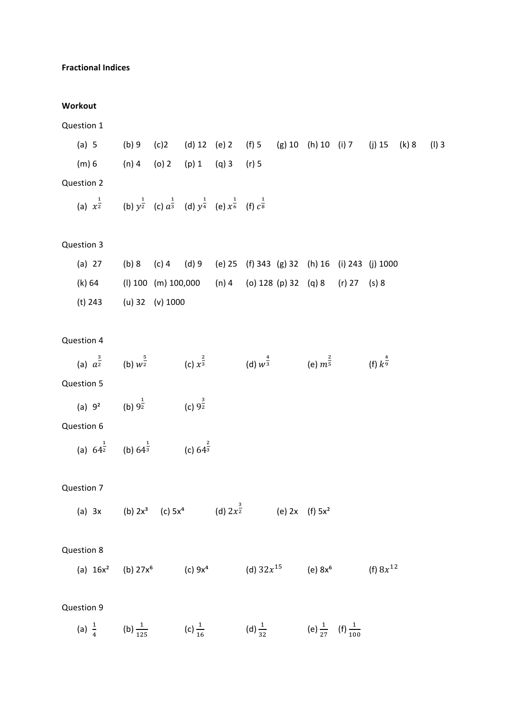## **Fractional Indices**

#### **Workout**

| Question 1                                                                                                                          |                                                                 |                    |                        |                    |                     |                                        |               |         |
|-------------------------------------------------------------------------------------------------------------------------------------|-----------------------------------------------------------------|--------------------|------------------------|--------------------|---------------------|----------------------------------------|---------------|---------|
| (a) 5                                                                                                                               | (b) 9 (c) 2 (d) 12 (e) 2 (f) 5 (g) 10 (h) 10 (i) 7 (j) 15 (k) 8 |                    |                        |                    |                     |                                        |               | $(I)$ 3 |
| (m) 6                                                                                                                               | $(n)$ 4 (o) 2 (p) 1 (q) 3 (r) 5                                 |                    |                        |                    |                     |                                        |               |         |
| Question 2                                                                                                                          |                                                                 |                    |                        |                    |                     |                                        |               |         |
| (a) $x^{\frac{1}{2}}$ (b) $y^{\frac{1}{2}}$ (c) $a^{\frac{1}{3}}$ (d) $y^{\frac{1}{4}}$ (e) $x^{\frac{1}{6}}$ (f) $c^{\frac{1}{8}}$ |                                                                 |                    |                        |                    |                     |                                        |               |         |
| Question 3                                                                                                                          |                                                                 |                    |                        |                    |                     |                                        |               |         |
| $(a)$ 27                                                                                                                            | (b) 8 (c) 4 (d) 9 (e) 25 (f) 343 (g) 32 (h) 16 (i) 243 (j) 1000 |                    |                        |                    |                     |                                        |               |         |
| (k) 64 (l) 100 (m) 100,000 (n) 4 (o) 128 (p) 32 (q) 8 (r) 27 (s) 8                                                                  |                                                                 |                    |                        |                    |                     |                                        |               |         |
| (t) 243 (u) 32 (v) 1000                                                                                                             |                                                                 |                    |                        |                    |                     |                                        |               |         |
| Question 4                                                                                                                          |                                                                 |                    |                        |                    |                     |                                        |               |         |
| (a) $a^{\frac{3}{2}}$ (b) $w^{\frac{5}{2}}$ (c) $x^{\frac{2}{3}}$ (d) $w^{\frac{4}{3}}$ (e) $m^{\frac{2}{5}}$ (f) $k^{\frac{4}{9}}$ |                                                                 |                    |                        |                    |                     |                                        |               |         |
| Question 5                                                                                                                          |                                                                 |                    |                        |                    |                     |                                        |               |         |
| (a) $9^2$ (b) $9^{\frac{1}{2}}$ (c) $9^{\frac{3}{2}}$                                                                               |                                                                 |                    |                        |                    |                     |                                        |               |         |
| Question 6                                                                                                                          |                                                                 |                    |                        |                    |                     |                                        |               |         |
| (a) $64^{\frac{1}{2}}$ (b) $64^{\frac{1}{3}}$ (c) $64^{\frac{2}{3}}$                                                                |                                                                 |                    |                        |                    |                     |                                        |               |         |
| Question 7                                                                                                                          |                                                                 |                    |                        |                    |                     |                                        |               |         |
| (a) $3x$ (b) $2x^3$ (c) $5x^4$                                                                                                      |                                                                 |                    | (d) $2x^{\frac{3}{2}}$ |                    | (e) $2x$ (f) $5x^2$ |                                        |               |         |
| Question 8                                                                                                                          |                                                                 |                    |                        |                    |                     |                                        |               |         |
| (a) $16x^2$ (b) $27x^6$                                                                                                             |                                                                 | (c) $9x^4$         |                        |                    |                     | (d) $32x^{15}$ (e) $8x^6$              | (f) $8x^{12}$ |         |
| Question 9                                                                                                                          |                                                                 |                    |                        |                    |                     |                                        |               |         |
| (a) $\frac{1}{4}$                                                                                                                   | (b) $\frac{1}{125}$                                             | (c) $\frac{1}{16}$ |                        | (d) $\frac{1}{32}$ |                     | (e) $\frac{1}{27}$ (f) $\frac{1}{100}$ |               |         |